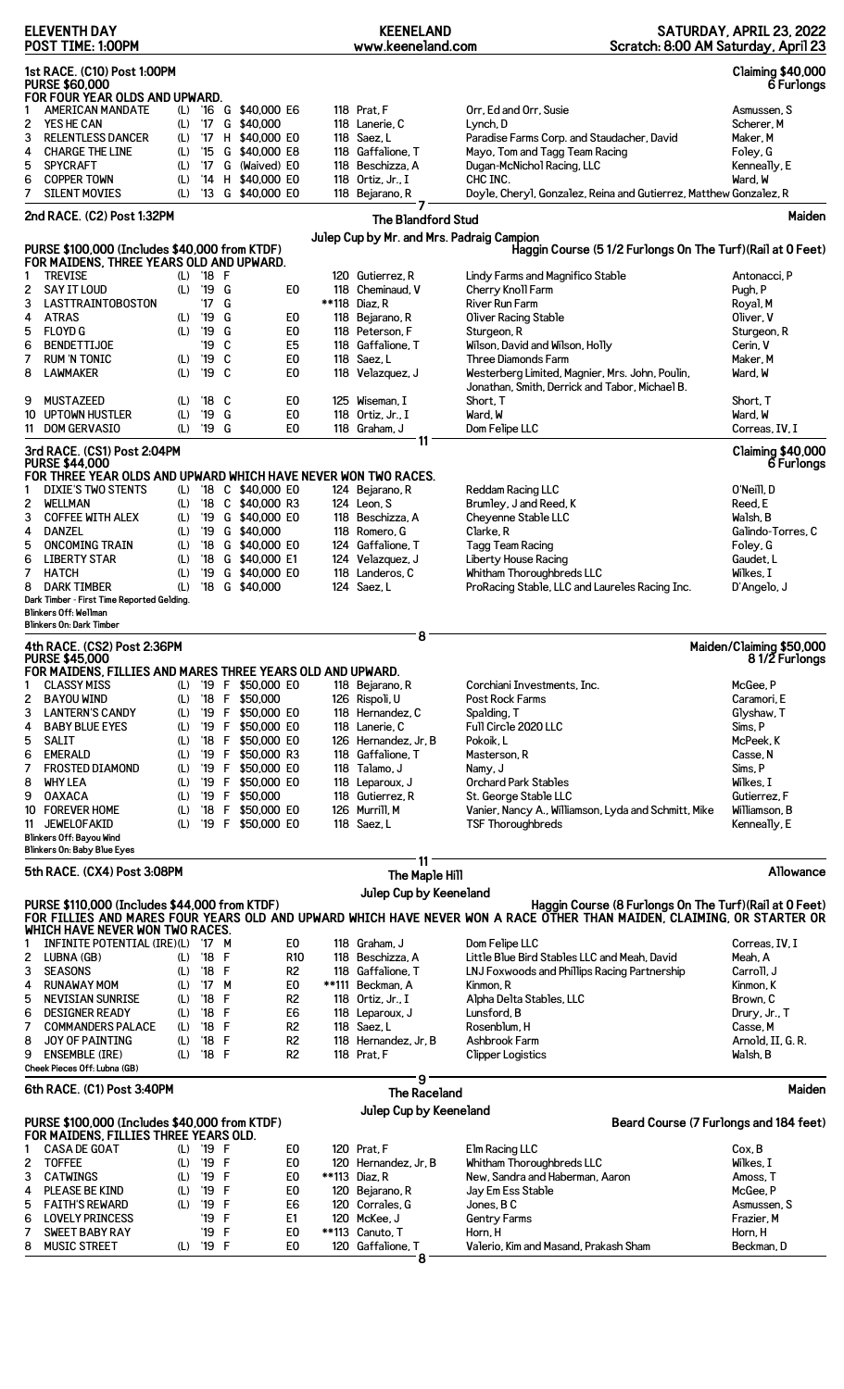| <b>ELEVENTH DAY</b><br>POST TIME: 1:00PM                                                                                                                                                              |                                                                                                                        |            |                      |        |                                        | <b>KEENELAND</b><br>www.keeneland.com |                                       |                          |                                                                                                                                                                                   | SATURDAY, APRIL 23, 2022<br>Scratch: 8:00 AM Saturday, April 23 |  |
|-------------------------------------------------------------------------------------------------------------------------------------------------------------------------------------------------------|------------------------------------------------------------------------------------------------------------------------|------------|----------------------|--------|----------------------------------------|---------------------------------------|---------------------------------------|--------------------------|-----------------------------------------------------------------------------------------------------------------------------------------------------------------------------------|-----------------------------------------------------------------|--|
| 1st RACE. (C10) Post 1:00PM<br><b>Claiming \$40,000</b><br><b>PURSE \$60,000</b><br>6 Furlongs<br>FOR FOUR YEAR OLDS AND UPWARD.                                                                      |                                                                                                                        |            |                      |        |                                        |                                       |                                       |                          |                                                                                                                                                                                   |                                                                 |  |
| 1                                                                                                                                                                                                     | <b>AMERICAN MANDATE</b>                                                                                                | (L)        |                      |        | '16 G \$40,000 E6                      |                                       | 118 Prat. F                           |                          | Orr, Ed and Orr, Susie                                                                                                                                                            | Asmussen, S                                                     |  |
| 2                                                                                                                                                                                                     | YES HE CAN                                                                                                             | (L)        | '17                  |        | G \$40,000                             |                                       | 118 Lanerie, C                        |                          | Lynch, D                                                                                                                                                                          | Scherer, M                                                      |  |
| 3<br>4                                                                                                                                                                                                | <b>RELENTLESS DANCER</b><br><b>CHARGE THE LINE</b>                                                                     | (L)<br>(L) | '17<br>$^{\prime}15$ |        | H \$40,000 E0<br>G \$40,000 E8         |                                       | 118 Saez. L<br>118 Gaffalione, T      |                          | Paradise Farms Corp. and Staudacher, David<br>Mayo, Tom and Tagg Team Racing                                                                                                      | Maker, M<br>Foley, G                                            |  |
| 5                                                                                                                                                                                                     | <b>SPYCRAFT</b>                                                                                                        | (L)        | $^{\prime}$ 17       |        | G (Waived) EO                          |                                       | 118 Beschizza, A                      |                          | Dugan-McNichol Racing, LLC                                                                                                                                                        | Kenneally, E                                                    |  |
| 6                                                                                                                                                                                                     | <b>COPPER TOWN</b>                                                                                                     | (L)        | '14                  |        | H \$40,000 E0                          |                                       | 118 Ortiz, Jr., I                     |                          | CHC INC.                                                                                                                                                                          | Ward, W                                                         |  |
| 7                                                                                                                                                                                                     | <b>SILENT MOVIES</b>                                                                                                   | (L)        |                      |        | '13 G \$40,000 E0                      |                                       | 118 Bejarano, R                       |                          | Doyle, Cheryl, Gonzalez, Reina and Gutierrez, Matthew Gonzalez, R                                                                                                                 |                                                                 |  |
|                                                                                                                                                                                                       | 2nd RACE. (C2) Post 1:32PM                                                                                             |            |                      |        |                                        |                                       |                                       |                          |                                                                                                                                                                                   | Maiden                                                          |  |
|                                                                                                                                                                                                       |                                                                                                                        |            |                      |        |                                        |                                       |                                       | The Blandford Stud       |                                                                                                                                                                                   |                                                                 |  |
| Julep Cup by Mr. and Mrs. Padraig Campion<br>PURSE \$100,000 (Includes \$40,000 from KTDF)<br>Haggin Course (5 1/2 Furlongs On The Turf) (Rail at 0 Feet)<br>FOR MAIDENS, THREE YEARS OLD AND UPWARD. |                                                                                                                        |            |                      |        |                                        |                                       |                                       |                          |                                                                                                                                                                                   |                                                                 |  |
| 1                                                                                                                                                                                                     | <b>TREVISE</b>                                                                                                         | (L)        | '18 F                |        |                                        |                                       | 120 Gutierrez, R                      |                          | Lindy Farms and Magnifico Stable                                                                                                                                                  | Antonacci, P                                                    |  |
| 2<br>3                                                                                                                                                                                                | SAY IT LOUD<br><b>LASTTRAINTOBOSTON</b>                                                                                | (L)        | '19<br>'17           | G<br>G | E0                                     |                                       | 118 Cheminaud, V<br>**118 Diaz. R     |                          | Cherry Knoll Farm<br><b>River Run Farm</b>                                                                                                                                        | Pugh, P                                                         |  |
| 4                                                                                                                                                                                                     | <b>ATRAS</b>                                                                                                           | (L)        | '19                  | G      | E0                                     |                                       | 118 Bejarano, R                       |                          | Oliver Racing Stable                                                                                                                                                              | Royal, M<br>Oliver, V                                           |  |
| 5                                                                                                                                                                                                     | <b>FLOYD G</b>                                                                                                         | (L)        | '19                  | G      | E0                                     |                                       | 118 Peterson, F                       |                          | Sturgeon, R                                                                                                                                                                       | Sturgeon, R                                                     |  |
| 6                                                                                                                                                                                                     | <b>BENDETTIJOE</b>                                                                                                     |            | '19                  | C      | E <sub>5</sub>                         |                                       | 118 Gaffalione, T                     |                          | Wilson, David and Wilson, Holly                                                                                                                                                   | Cerin, V                                                        |  |
| 7                                                                                                                                                                                                     | <b>RUM 'N TONIC</b>                                                                                                    | (L)        | '19                  | C      | E <sub>0</sub>                         |                                       | 118 Saez, L                           |                          | <b>Three Diamonds Farm</b>                                                                                                                                                        | Maker, M                                                        |  |
| 8                                                                                                                                                                                                     | <b>LAWMAKER</b>                                                                                                        | (L)        | '19                  | C      | E0                                     |                                       | 118 Velazquez, J                      |                          | Westerberg Limited, Magnier, Mrs. John, Poulin,                                                                                                                                   | Ward, W                                                         |  |
|                                                                                                                                                                                                       |                                                                                                                        |            |                      |        |                                        |                                       |                                       |                          | Jonathan, Smith, Derrick and Tabor, Michael B.                                                                                                                                    |                                                                 |  |
| 9                                                                                                                                                                                                     | <b>MUSTAZEED</b>                                                                                                       | (L)        | '18                  | C      | E0                                     |                                       | 125 Wiseman, I                        |                          | Short. T                                                                                                                                                                          | Short, T                                                        |  |
|                                                                                                                                                                                                       | 10 UPTOWN HUSTLER                                                                                                      | (L)        | '19                  | G      | E0                                     |                                       | 118 Ortiz, Jr., I                     |                          | Ward, W                                                                                                                                                                           | Ward, W                                                         |  |
| 11                                                                                                                                                                                                    | <b>DOM GERVASIO</b>                                                                                                    | (L)        | '19                  | G      | E <sub>0</sub>                         |                                       | 118 Graham, J                         | 11                       | Dom Felipe LLC                                                                                                                                                                    | Correas, IV, I                                                  |  |
|                                                                                                                                                                                                       | 3rd RACE. (CS1) Post 2:04PM<br><b>PURSE \$44,000</b><br>FOR THREE YEAR OLDS AND UPWARD WHICH HAVE NEVER WON TWO RACES. |            |                      |        |                                        |                                       |                                       |                          |                                                                                                                                                                                   | <b>Claiming \$40,000</b><br>6 Furlongs                          |  |
| 1                                                                                                                                                                                                     | <b>DIXIE'S TWO STENTS</b>                                                                                              | (L)        |                      |        | '18 C \$40,000 E0                      |                                       | 124 Bejarano, R                       |                          | Reddam Racing LLC                                                                                                                                                                 | O'Neill, D                                                      |  |
| 2                                                                                                                                                                                                     | <b>WELLMAN</b>                                                                                                         | (L)        | $^{\prime}18$        |        | C \$40,000 R3                          |                                       | 124 Leon, S                           |                          | Brumley, J and Reed, K                                                                                                                                                            | Reed, E                                                         |  |
| 3                                                                                                                                                                                                     | <b>COFFEE WITH ALEX</b>                                                                                                | (L)        | '19                  |        | G \$40,000 E0                          |                                       | 118 Beschizza, A                      |                          | Cheyenne Stable LLC                                                                                                                                                               | Walsh, B                                                        |  |
| 4                                                                                                                                                                                                     | <b>DANZEL</b>                                                                                                          | (L)        | '19                  |        | G \$40,000                             |                                       | 118 Romero, G                         |                          | Clarke, R                                                                                                                                                                         | Galindo-Torres, C                                               |  |
| 5                                                                                                                                                                                                     | <b>ONCOMING TRAIN</b>                                                                                                  | (L)        | '18                  |        | G \$40,000 EO                          |                                       | 124 Gaffalione, T                     |                          | Tagg Team Racing                                                                                                                                                                  | Foley, G                                                        |  |
| 6                                                                                                                                                                                                     | <b>LIBERTY STAR</b>                                                                                                    | (L)        | $^{\prime}18$        |        | G \$40,000 E1                          |                                       | 124 Velazquez, J                      |                          | Liberty House Racing                                                                                                                                                              | Gaudet, L                                                       |  |
| 7                                                                                                                                                                                                     | <b>HATCH</b>                                                                                                           | (L)        | '19                  |        | G \$40,000 E0                          |                                       | 118 Landeros, C                       |                          | Whitham Thoroughbreds LLC                                                                                                                                                         | Wilkes, I                                                       |  |
| 8                                                                                                                                                                                                     | <b>DARK TIMBER</b>                                                                                                     | (L)        | $^{\prime}18$        |        | G \$40,000                             |                                       | 124 Saez, L                           |                          | ProRacing Stable, LLC and Laureles Racing Inc.                                                                                                                                    | D'Angelo, J                                                     |  |
|                                                                                                                                                                                                       | Dark Timber - First Time Reported Gelding.<br><b>Blinkers Off: Wellman</b>                                             |            |                      |        |                                        |                                       |                                       |                          |                                                                                                                                                                                   |                                                                 |  |
|                                                                                                                                                                                                       | <b>Blinkers On: Dark Timber</b>                                                                                        |            |                      |        |                                        |                                       |                                       |                          |                                                                                                                                                                                   |                                                                 |  |
|                                                                                                                                                                                                       |                                                                                                                        |            |                      |        |                                        |                                       |                                       | 8                        |                                                                                                                                                                                   |                                                                 |  |
|                                                                                                                                                                                                       | 4th RACE. (CS2) Post 2:36PM<br><b>PURSE \$45,000</b>                                                                   |            |                      |        |                                        |                                       |                                       |                          |                                                                                                                                                                                   | Maiden/Claiming \$50,000<br>81/2 Furlongs                       |  |
|                                                                                                                                                                                                       | FOR MAIDENS, FILLIES AND MARES THREE YEARS OLD AND UPWARD.                                                             |            |                      |        |                                        |                                       |                                       |                          |                                                                                                                                                                                   |                                                                 |  |
| 1                                                                                                                                                                                                     | <b>CLASSY MISS</b>                                                                                                     | (L)        |                      |        | '19 F \$50,000 E0                      |                                       | 118 Bejarano, R                       |                          | Corchiani Investments, Inc.                                                                                                                                                       | McGee, P                                                        |  |
| 2                                                                                                                                                                                                     | <b>BAYOU WIND</b>                                                                                                      | (L)        | $'18$ F              |        | \$50,000                               |                                       | 126 Rispoli, U                        |                          | Post Rock Farms                                                                                                                                                                   | Caramori, E                                                     |  |
| 3                                                                                                                                                                                                     | <b>LANTERN'S CANDY</b>                                                                                                 | (L)        |                      |        | '19 F \$50,000 E0                      |                                       | 118 Hernandez, C                      |                          | Spalding, T                                                                                                                                                                       | Glyshaw, T                                                      |  |
| 4                                                                                                                                                                                                     | <b>BABY BLUE EYES</b>                                                                                                  | (L)        |                      |        | '19 F \$50,000 E0                      |                                       | 118 Lanerie, C                        |                          | Full Circle 2020 LLC                                                                                                                                                              | Sims, P                                                         |  |
| 5                                                                                                                                                                                                     | <b>SALIT</b>                                                                                                           | (L)        | $'18$ F              |        | \$50,000 EO                            |                                       | 126 Hernandez, Jr, B                  |                          | Pokoik, L                                                                                                                                                                         | McPeek, K                                                       |  |
| 6                                                                                                                                                                                                     | <b>EMERALD</b>                                                                                                         | (L)        |                      |        | '19 F \$50,000 R3                      |                                       | 118 Gaffalione, T                     |                          | Masterson, R                                                                                                                                                                      | Casse, N                                                        |  |
| 7<br>8                                                                                                                                                                                                | <b>FROSTED DIAMOND</b><br>WHY LEA                                                                                      | (L)<br>(L) |                      |        | '19 F \$50,000 E0<br>'19 F \$50,000 E0 |                                       | 118 Talamo, J<br>118 Leparoux, J      |                          | Namy, J<br><b>Orchard Park Stables</b>                                                                                                                                            | Sims, P<br>Wilkes, I                                            |  |
| 9                                                                                                                                                                                                     | <b>OAXACA</b>                                                                                                          | (L)        |                      |        | '19 F \$50,000                         |                                       | 118 Gutierrez, R                      |                          | St. George Stable LLC                                                                                                                                                             | Gutierrez, F                                                    |  |
|                                                                                                                                                                                                       | 10 FOREVER HOME                                                                                                        | (L)        | '18                  | F.     | \$50,000 E0                            |                                       | 126 Murrill, M                        |                          | Vanier, Nancy A., Williamson, Lyda and Schmitt, Mike                                                                                                                              | Williamson, B                                                   |  |
| 11                                                                                                                                                                                                    | <b>JEWELOFAKID</b>                                                                                                     | (L)        |                      |        | '19 F \$50,000 E0                      |                                       | 118 Saez, L                           |                          | <b>TSF Thoroughbreds</b>                                                                                                                                                          | Kenneally, E                                                    |  |
|                                                                                                                                                                                                       | Blinkers Off: Bayou Wind                                                                                               |            |                      |        |                                        |                                       |                                       |                          |                                                                                                                                                                                   |                                                                 |  |
|                                                                                                                                                                                                       | Blinkers On: Baby Blue Eyes                                                                                            |            |                      |        |                                        |                                       |                                       |                          |                                                                                                                                                                                   |                                                                 |  |
|                                                                                                                                                                                                       | 5th RACE. (CX4) Post 3:08PM                                                                                            |            |                      |        |                                        |                                       |                                       | 11<br>The Maple Hill     |                                                                                                                                                                                   | Allowance                                                       |  |
|                                                                                                                                                                                                       |                                                                                                                        |            |                      |        |                                        |                                       | Julep Cup by Keeneland                |                          |                                                                                                                                                                                   |                                                                 |  |
|                                                                                                                                                                                                       | PURSE \$110,000 (Includes \$44,000 from KTDF)                                                                          |            |                      |        |                                        |                                       |                                       |                          | Haggin Course (8 Furlongs On The Turf) (Rail at 0 Feet)<br>FOR FILLIES AND MARES FOUR YEARS OLD AND UPWARD WHICH HAVE NEVER WON A RACE OTHER THAN MAIDEN, CLAIMING, OR STARTER OR |                                                                 |  |
| 1                                                                                                                                                                                                     | WHICH HAVE NEVER WON TWO RACES.<br>INFINITE POTENTIAL (IRE)(L) '17 M                                                   |            |                      |        | E0                                     |                                       | 118 Graham, J                         |                          | Dom Felipe LLC                                                                                                                                                                    | Correas, IV, I                                                  |  |
| 2                                                                                                                                                                                                     | LUBNA (GB)                                                                                                             | (L)        | '18                  | F      | <b>R10</b>                             |                                       | 118 Beschizza, A                      |                          | Little Blue Bird Stables LLC and Meah, David                                                                                                                                      | Meah, A                                                         |  |
| 3                                                                                                                                                                                                     | <b>SEASONS</b>                                                                                                         | (L)        | $^{\prime}18$        | F      | R <sub>2</sub>                         |                                       | 118 Gaffalione, T                     |                          | LNJ Foxwoods and Phillips Racing Partnership                                                                                                                                      | Carroll, J                                                      |  |
| 4                                                                                                                                                                                                     | <b>RUNAWAY MOM</b>                                                                                                     | (L)        | $^{\prime}$ 17       | M      | E <sub>0</sub>                         |                                       | **111 Beckman, A                      |                          | Kinmon, R                                                                                                                                                                         | Kinmon, K                                                       |  |
| 5                                                                                                                                                                                                     | <b>NEVISIAN SUNRISE</b>                                                                                                | (L)        | $^{\prime}18$        | F      | R <sub>2</sub>                         |                                       | 118 Ortiz, Jr., I                     |                          | Alpha Delta Stables, LLC                                                                                                                                                          | Brown, C                                                        |  |
| 6                                                                                                                                                                                                     | <b>DESIGNER READY</b>                                                                                                  | (L)        | $^{\prime}18$        | F      | E6                                     |                                       | 118 Leparoux, J                       |                          | Lunsford, B                                                                                                                                                                       | Drury, Jr., T                                                   |  |
| 7                                                                                                                                                                                                     | <b>COMMANDERS PALACE</b>                                                                                               | (L)        | '18                  | F      | R <sub>2</sub>                         |                                       | 118 Saez, L                           |                          | Rosenblum, H                                                                                                                                                                      | Casse, M                                                        |  |
| 8                                                                                                                                                                                                     | JOY OF PAINTING                                                                                                        | (L)        | $^{\prime}18$        | F      | R <sub>2</sub>                         |                                       | 118 Hernandez, Jr, B                  |                          | Ashbrook Farm                                                                                                                                                                     | Arnold, II, G. R.                                               |  |
| 9                                                                                                                                                                                                     | <b>ENSEMBLE (IRE)</b>                                                                                                  | (L)        | '18 F                |        | R <sub>2</sub>                         |                                       | 118 Prat, F                           |                          | <b>Clipper Logistics</b>                                                                                                                                                          | Walsh, B                                                        |  |
|                                                                                                                                                                                                       | Cheek Pieces Off: Lubna (GB)<br>6th RACE. (C1) Post 3:40PM                                                             |            |                      |        |                                        |                                       |                                       | 9<br><b>The Raceland</b> |                                                                                                                                                                                   | Maiden                                                          |  |
|                                                                                                                                                                                                       |                                                                                                                        |            |                      |        |                                        |                                       | Julep Cup by Keeneland                |                          |                                                                                                                                                                                   |                                                                 |  |
|                                                                                                                                                                                                       | PURSE \$100,000 (Includes \$40,000 from KTDF)                                                                          |            |                      |        |                                        |                                       |                                       |                          | Beard Course (7 Furlongs and 184 feet)                                                                                                                                            |                                                                 |  |
|                                                                                                                                                                                                       | FOR MAIDENS, FILLIES THREE YEARS OLD.                                                                                  |            |                      |        |                                        |                                       |                                       |                          |                                                                                                                                                                                   |                                                                 |  |
| 1                                                                                                                                                                                                     | <b>CASA DE GOAT</b><br><b>TOFFEE</b>                                                                                   | (L)        | '19 F<br>'19 F       |        | E0<br>E0                               |                                       | 120 Prat, F                           |                          | Elm Racing LLC<br>Whitham Thoroughbreds LLC                                                                                                                                       | Cox, B<br>Wilkes, I                                             |  |
| 2<br>3                                                                                                                                                                                                | <b>CATWINGS</b>                                                                                                        | (L)<br>(L) | '19                  | F      | E <sub>0</sub>                         |                                       | 120 Hernandez, Jr, B<br>**113 Diaz, R |                          | New, Sandra and Haberman, Aaron                                                                                                                                                   | Amoss, T                                                        |  |
| 4                                                                                                                                                                                                     | <b>PLEASE BE KIND</b>                                                                                                  | (L)        | '19                  | F      | E <sub>0</sub>                         |                                       | 120 Bejarano, R                       |                          | Jay Em Ess Stable                                                                                                                                                                 | McGee, P                                                        |  |
| 5                                                                                                                                                                                                     | <b>FAITH'S REWARD</b>                                                                                                  | (L)        | '19                  | F      | E <sub>6</sub>                         |                                       | 120 Corrales, G                       |                          | Jones, BC                                                                                                                                                                         | Asmussen, S                                                     |  |
| 6                                                                                                                                                                                                     | <b>LOVELY PRINCESS</b>                                                                                                 |            | '19                  | F      | E1                                     |                                       | 120 McKee, J                          |                          | <b>Gentry Farms</b>                                                                                                                                                               | Frazier, M                                                      |  |
| 7                                                                                                                                                                                                     | <b>SWEET BABY RAY</b>                                                                                                  |            | '19                  | F      | E0                                     |                                       | **113 Canuto, T                       |                          | Horn, H                                                                                                                                                                           | Horn, H                                                         |  |
| 8                                                                                                                                                                                                     | <b>MUSIC STREET</b>                                                                                                    | (L)        | '19 F                |        | E <sub>0</sub>                         |                                       | 120 Gaffalione. T                     |                          | Valerio, Kim and Masand, Prakash Sham                                                                                                                                             | Beckman. D                                                      |  |
|                                                                                                                                                                                                       |                                                                                                                        |            |                      |        |                                        |                                       |                                       |                          |                                                                                                                                                                                   |                                                                 |  |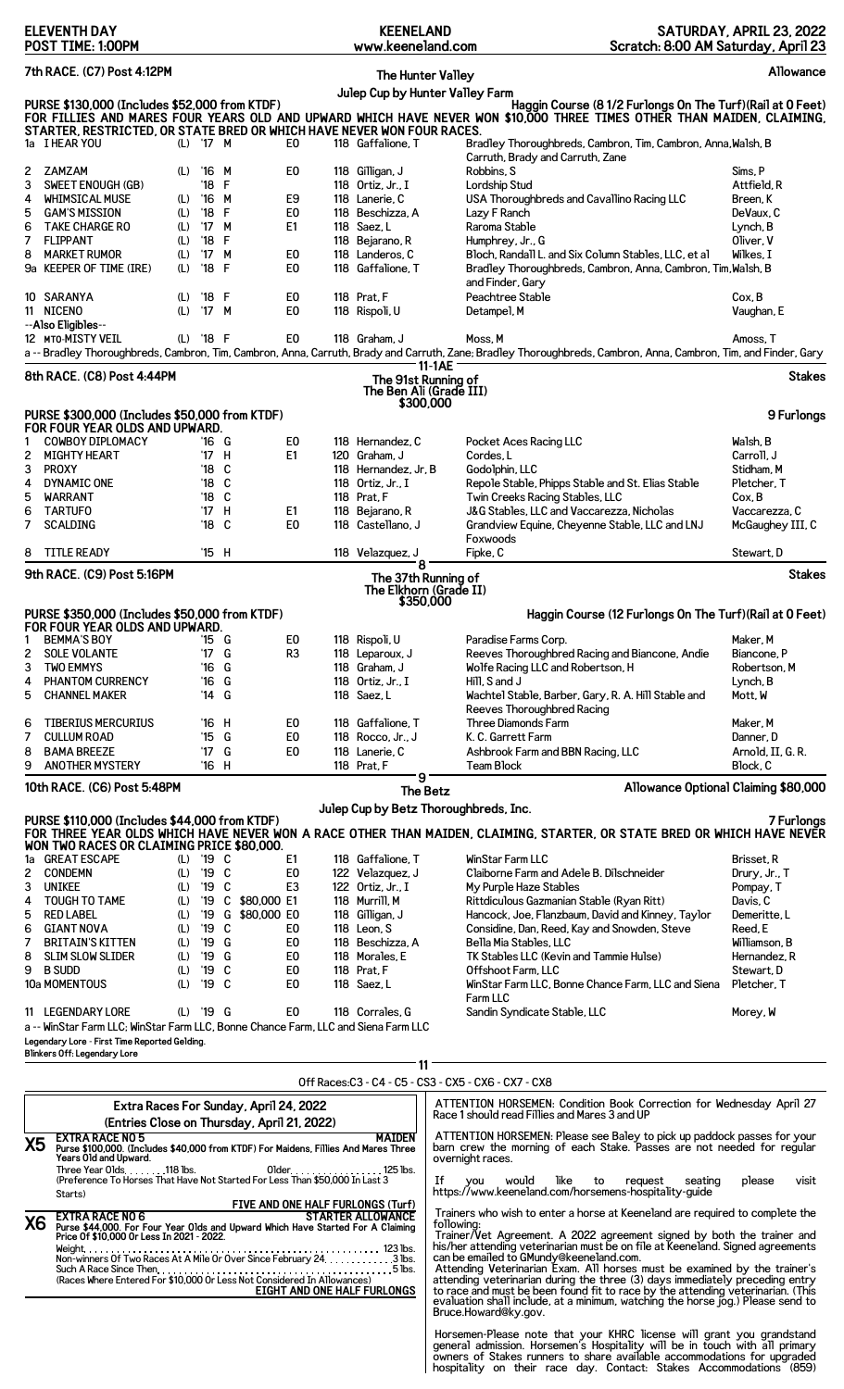| POST TIME: 1:00PM                                                                                                                                                                                                                                                                                                                                                                                                                                     | www.keeneland.com                                                                                                                                                                                                                                                                                                                          | Scratch: 8:00 AM Saturday, April 23                                                                                                                                                                                                                                                                                                                                                                                                                                                                                                                                       |                                                                                                                                               |  |  |  |  |
|-------------------------------------------------------------------------------------------------------------------------------------------------------------------------------------------------------------------------------------------------------------------------------------------------------------------------------------------------------------------------------------------------------------------------------------------------------|--------------------------------------------------------------------------------------------------------------------------------------------------------------------------------------------------------------------------------------------------------------------------------------------------------------------------------------------|---------------------------------------------------------------------------------------------------------------------------------------------------------------------------------------------------------------------------------------------------------------------------------------------------------------------------------------------------------------------------------------------------------------------------------------------------------------------------------------------------------------------------------------------------------------------------|-----------------------------------------------------------------------------------------------------------------------------------------------|--|--|--|--|
| 7th RACE. (C7) Post 4:12PM                                                                                                                                                                                                                                                                                                                                                                                                                            |                                                                                                                                                                                                                                                                                                                                            | The Hunter Valley                                                                                                                                                                                                                                                                                                                                                                                                                                                                                                                                                         | Allowance                                                                                                                                     |  |  |  |  |
| Julep Cup by Hunter Valley Farm<br>PURSE \$130,000 (Includes \$52,000 from KTDF)<br>Haggin Course (8 1/2 Furlongs On The Turf) (Rail at 0 Feet)<br>FOR FILLIES AND MARES FOUR YEARS OLD AND UPWARD WHICH HAVE NEVER WON \$10,000 THREE TIMES OTHER THAN MAIDEN, CLAIMING,<br>STARTER, RESTRICTED, OR STATE BRED OR WHICH HAVE NEVER WON FOUR RACES.<br>(L) '17 M<br>118 Gaffalione, T<br>Bradley Thoroughbreds, Cambron, Tim, Cambron, Anna, Walsh, B |                                                                                                                                                                                                                                                                                                                                            |                                                                                                                                                                                                                                                                                                                                                                                                                                                                                                                                                                           |                                                                                                                                               |  |  |  |  |
| 1a I HEAR YOU<br><b>ZAMZAM</b><br>2<br>(L)<br>'16<br>M<br>3<br>$^{\prime}18$<br>F<br><b>SWEET ENOUGH (GB)</b><br>$^{\prime}16$<br>М<br>4<br><b>WHIMSICAL MUSE</b><br>(L)<br>5<br><b>GAM'S MISSION</b><br>$^{\prime}18$<br>F<br>(L)<br>'17 M<br>6<br><b>TAKE CHARGE RO</b><br>(L)<br>7<br><b>FLIPPANT</b><br>$^{\prime}18$<br>F<br>(L)<br>M<br>8<br><b>MARKET RUMOR</b><br>$^{\prime}$ 17<br>(L)<br>$'18$ F<br>9a KEEPER OF TIME (IRE)<br>(L)          | E0<br>E <sub>0</sub><br>118 Gilligan, J<br>118 Ortiz, Jr., I<br>E9<br>118 Lanerie, C<br>E <sub>0</sub><br>118 Beschizza, A<br>E <sub>1</sub><br>118 Saez, L<br>118 Bejarano, R<br>E <sub>0</sub><br>118 Landeros, C<br>E0<br>118 Gaffalione, T                                                                                             | Carruth, Brady and Carruth, Zane<br>Robbins, S<br>Lordship Stud<br>USA Thoroughbreds and Cavallino Racing LLC<br>Lazy F Ranch<br>Raroma Stable<br>Humphrey, Jr., G<br>Bloch, Randall L. and Six Column Stables, LLC, et al<br>Bradley Thoroughbreds, Cambron, Anna, Cambron, Tim, Walsh, B                                                                                                                                                                                                                                                                                | Sims, P<br>Attfield, R<br>Breen, K<br>DeVaux, C<br>Lynch, B<br>Oliver, V<br>Wilkes, I                                                         |  |  |  |  |
| 10 SARANYA<br>'18<br>F<br>(L)<br>'17 M<br>11 NICENO<br>(L)<br>--Also Eligibles--                                                                                                                                                                                                                                                                                                                                                                      | E <sub>0</sub><br>118 Prat, F<br>E <sub>0</sub><br>118 Rispoli, U                                                                                                                                                                                                                                                                          | and Finder, Gary<br>Peachtree Stable<br>Detampel, M                                                                                                                                                                                                                                                                                                                                                                                                                                                                                                                       | Cox, B<br>Vaughan, E                                                                                                                          |  |  |  |  |
| 12 MTO-MISTY VEIL<br>$'18$ F<br>(L)                                                                                                                                                                                                                                                                                                                                                                                                                   | E <sub>0</sub><br>118 Graham, J                                                                                                                                                                                                                                                                                                            | Moss. M<br>a -- Bradley Thoroughbreds, Cambron, Tim, Cambron, Anna, Carruth, Brady and Carruth, Zane; Bradley Thoroughbreds, Cambron, Anna, Cambron, Tim, and Finder, Gary                                                                                                                                                                                                                                                                                                                                                                                                | Amoss. T                                                                                                                                      |  |  |  |  |
| 11-1AE<br>8th RACE. (C8) Post 4:44PM<br><b>Stakes</b><br>The 91st Running of<br>The Ben Ali (Grade III)                                                                                                                                                                                                                                                                                                                                               |                                                                                                                                                                                                                                                                                                                                            |                                                                                                                                                                                                                                                                                                                                                                                                                                                                                                                                                                           |                                                                                                                                               |  |  |  |  |
|                                                                                                                                                                                                                                                                                                                                                                                                                                                       |                                                                                                                                                                                                                                                                                                                                            | \$300,000                                                                                                                                                                                                                                                                                                                                                                                                                                                                                                                                                                 |                                                                                                                                               |  |  |  |  |
| PURSE \$300,000 (Includes \$50,000 from KTDF)<br>FOR FOUR YEAR OLDS AND UPWARD.<br><b>COWBOY DIPLOMACY</b><br>'16 G<br>1<br><b>MIGHTY HEART</b><br>'17 H<br>2<br>3<br>$^{\prime}18$<br>C<br><b>PROXY</b><br>C<br>4<br>DYNAMIC ONE<br>$^{\prime}18$<br>C<br>5<br>'18<br>WARRANT<br>'17 H<br><b>TARTUFO</b><br>6<br>$^{\prime}18$<br>C<br>7<br><b>SCALDING</b>                                                                                          | E <sub>0</sub><br>118 Hernandez, C<br>E1<br>120 Graham, J<br>118 Hernandez, Jr, B<br>118 Ortiz, Jr., I<br>118 Prat, F<br>E1<br>118 Bejarano, R<br>E <sub>0</sub><br>118 Castellano, J                                                                                                                                                      | Pocket Aces Racing LLC<br>Cordes, L<br>Godolphin, LLC<br>Repole Stable, Phipps Stable and St. Elias Stable<br>Twin Creeks Racing Stables, LLC<br>J&G Stables, LLC and Vaccarezza, Nicholas<br>Grandview Equine, Cheyenne Stable, LLC and LNJ<br>Foxwoods                                                                                                                                                                                                                                                                                                                  | 9 Furlongs<br>Walsh, B<br>Carroll, J<br>Stidham, M<br>Pletcher, T<br>Cox, B<br>Vaccarezza, C<br>McGaughey III, C                              |  |  |  |  |
| <b>TITLE READY</b><br>'15 H<br>8                                                                                                                                                                                                                                                                                                                                                                                                                      | 118 Velazquez, J<br>8                                                                                                                                                                                                                                                                                                                      | Fipke, C                                                                                                                                                                                                                                                                                                                                                                                                                                                                                                                                                                  | Stewart, D                                                                                                                                    |  |  |  |  |
| 9th RACE. (C9) Post 5:16PM                                                                                                                                                                                                                                                                                                                                                                                                                            |                                                                                                                                                                                                                                                                                                                                            | The 37th Running of<br>The Elkhorn (Grade II)                                                                                                                                                                                                                                                                                                                                                                                                                                                                                                                             | <b>Stakes</b>                                                                                                                                 |  |  |  |  |
| PURSE \$350,000 (Includes \$50,000 from KTDF)<br>FOR FOUR YEAR OLDS AND UPWARD.<br><b>BEMMA'S BOY</b><br>'15 G<br>1<br>$'17$ G<br>2<br><b>SOLE VOLANTE</b><br><b>TWO EMMYS</b><br>G<br>3<br>'16                                                                                                                                                                                                                                                       | E0<br>118 Rispoli, U<br>R <sub>3</sub><br>118 Leparoux, J<br>118 Graham, J                                                                                                                                                                                                                                                                 | \$350,000<br>Haggin Course (12 Furlongs On The Turf) (Rail at 0 Feet)<br>Paradise Farms Corp.<br>Reeves Thoroughbred Racing and Biancone, Andie<br>Wolfe Racing LLC and Robertson, H                                                                                                                                                                                                                                                                                                                                                                                      | Maker, M<br>Biancone, P<br>Robertson, M                                                                                                       |  |  |  |  |
| PHANTOM CURRENCY<br>G<br>4<br>'16<br>5<br>G<br><b>CHANNEL MAKER</b><br>'14<br><b>TIBERIUS MERCURIUS</b><br>'16 H<br>6<br>G<br>$^{\prime}15$<br>7<br><b>CULLUM ROAD</b><br><b>BAMA BREEZE</b><br>'17 G<br>8<br>9<br><b>ANOTHER MYSTERY</b><br>'16 H                                                                                                                                                                                                    | 118 Ortiz, Jr., I<br>118 Saez, L<br>E0<br>118 Gaffalione. T<br>E <sub>0</sub><br>118 Rocco, $Jr_{\cdot}$ , J<br>E0<br>118 Lanerie, C<br>118 Prat. F                                                                                                                                                                                        | Hill. S and J<br>Wachtel Stable, Barber, Gary, R. A. Hill Stable and<br>Reeves Thoroughbred Racing<br>Three Diamonds Farm<br>K. C. Garrett Farm<br>Ashbrook Farm and BBN Racing, LLC<br><b>Team Block</b>                                                                                                                                                                                                                                                                                                                                                                 | Lynch, B<br>Mott, W<br>Maker, M<br>Danner, D<br>Arnold, II, G. R.<br>Block, C                                                                 |  |  |  |  |
| 10th RACE. (C6) Post 5:48PM                                                                                                                                                                                                                                                                                                                                                                                                                           | 9                                                                                                                                                                                                                                                                                                                                          |                                                                                                                                                                                                                                                                                                                                                                                                                                                                                                                                                                           | Allowance Optional Claiming \$80,000                                                                                                          |  |  |  |  |
| PURSE \$110,000 (Includes \$44,000 from KTDF)<br>WON TWO RACES OR CLAIMING PRICE \$80,000.                                                                                                                                                                                                                                                                                                                                                            |                                                                                                                                                                                                                                                                                                                                            | The Betz<br>Julep Cup by Betz Thoroughbreds, Inc.<br>FOR THREE YEAR OLDS WHICH HAVE NEVER WON A RACE OTHER THAN MAIDEN, CLAIMING, STARTER, OR STATE BRED OR WHICH HAVE NEVER                                                                                                                                                                                                                                                                                                                                                                                              | 7 Furlongs                                                                                                                                    |  |  |  |  |
| (L) '19 C<br>1a GREAT ESCAPE<br>$^{\prime}$ 19<br><b>CONDEMN</b><br>C<br>2<br>(L)<br>3<br><b>UNIKEE</b><br>'19<br>C<br>(L)<br><b>TOUGH TO TAME</b><br>'19<br>4<br>(L)<br>G<br>5<br><b>RED LABEL</b><br>'19<br>(L)<br><b>GIANT NOVA</b><br>'19<br>C<br>6<br>(L)<br><b>BRITAIN'S KITTEN</b><br>'19<br>G<br>7<br>(L)<br>8<br>'19<br>G<br><b>SLIM SLOW SLIDER</b><br>(L)<br>C<br>9<br><b>B SUDD</b><br>'19<br>(L)<br>10a MOMENTOUS<br>'19<br>C<br>(L)     | 118 Gaffalione, T<br>E1<br>E <sub>0</sub><br>122 Velazquez, J<br>E <sub>3</sub><br>122 Ortiz, Jr., I<br>C \$80,000 E1<br>118 Murrill, M<br>\$80,000 E0<br>118 Gilligan, J<br>E <sub>0</sub><br>118 Leon, S<br>E <sub>0</sub><br>118 Beschizza, A<br>E <sub>0</sub><br>118 Morales, E<br>E <sub>0</sub><br>118 Prat, F<br>E0<br>118 Saez, L | WinStar Farm LLC<br>Claiborne Farm and Adele B. Dilschneider<br>My Purple Haze Stables<br>Rittdiculous Gazmanian Stable (Ryan Ritt)<br>Hancock, Joe, Flanzbaum, David and Kinney, Taylor<br>Considine, Dan, Reed, Kay and Snowden, Steve<br>Bella Mia Stables, LLC<br>TK Stables LLC (Kevin and Tammie Hulse)<br>Offshoot Farm, LLC<br>WinStar Farm LLC, Bonne Chance Farm, LLC and Siena<br>Farm LLC                                                                                                                                                                     | Brisset, R<br>Drury, Jr., T<br>Pompay, T<br>Davis, C<br>Demeritte, L<br>Reed, E<br>Williamson, B<br>Hernandez, R<br>Stewart, D<br>Pletcher, T |  |  |  |  |
| (L) '19 G<br>11 LEGENDARY LORE<br>a -- WinStar Farm LLC; WinStar Farm LLC, Bonne Chance Farm, LLC and Siena Farm LLC<br>Legendary Lore - First Time Reported Gelding.<br>Blinkers Off: Legendary Lore                                                                                                                                                                                                                                                 | E0<br>118 Corrales, G                                                                                                                                                                                                                                                                                                                      | Sandin Syndicate Stable, LLC                                                                                                                                                                                                                                                                                                                                                                                                                                                                                                                                              | Morey, W                                                                                                                                      |  |  |  |  |
|                                                                                                                                                                                                                                                                                                                                                                                                                                                       | 11                                                                                                                                                                                                                                                                                                                                         | Off Races: C3 - C4 - C5 - CS3 - CX5 - CX6 - CX7 - CX8                                                                                                                                                                                                                                                                                                                                                                                                                                                                                                                     |                                                                                                                                               |  |  |  |  |
| Extra Races For Sunday, April 24, 2022                                                                                                                                                                                                                                                                                                                                                                                                                |                                                                                                                                                                                                                                                                                                                                            | ATTENTION HORSEMEN: Condition Book Correction for Wednesday April 27                                                                                                                                                                                                                                                                                                                                                                                                                                                                                                      |                                                                                                                                               |  |  |  |  |
| (Entries Close on Thursday, April 21, 2022)<br><b>EXTRA RACE NO 5</b><br><b>X5</b><br>Purse \$100,000. (Includes \$40,000 from KTDF) For Maidens, Fillies And Mares Three<br>Years Old and Upward.<br>Three Year Olds. 118 lbs.<br>(Preference To Horses That Have Not Started For Less Than \$50,000 In Last 3<br>Starts)<br><b>EXTRA RACE NO 6</b>                                                                                                  | <b>MAIDEN</b><br>01 der. 125 lbs.<br>FIVE AND ONE HALF FURLONGS (Turf)<br><b>STARTER ALLOWANCE</b>                                                                                                                                                                                                                                         | Race 1 should read Fillies and Mares 3 and UP<br>ATTENTION HORSEMEN: Please see Baley to pick up paddock passes for your<br>barn crew the morning of each Stake. Passes are not needed for regular<br>overnight races.<br>Ιf<br>would<br>like<br>to<br>request<br>seating<br><b>VOU</b><br>https://www.keeneland.com/horsemens-hospitality-quide<br>Trainers who wish to enter a horse at Keeneland are required to complete the                                                                                                                                          | please<br>visit                                                                                                                               |  |  |  |  |
| X6<br>Purse \$44,000. For Four Year Olds and Upward Which Have Started For A Claiming<br>Price Of \$10,000 Or Less In 2021 - 2022.                                                                                                                                                                                                                                                                                                                    | <b>EIGHT AND ONE HALF FURLONGS</b>                                                                                                                                                                                                                                                                                                         | following:<br>Trainer/Vet Agreement. A 2022 agreement signed by both the trainer and his/her attending veterinarian must be on file at Keeneland. Signed agreements<br>can be emailed to GMundy@keeneland.com.<br>Attending Veterinarian Exam. All horses must be examined by the trainer's<br>attending veterinarian during the three (3) days immediately preceding entry<br>to race and must be been found fit to race by the attending veterinarian. (This<br>evaluation shall include, at a minimum, watching the horse jog.) Please send to<br>Bruce.Howard@ky.gov. |                                                                                                                                               |  |  |  |  |
|                                                                                                                                                                                                                                                                                                                                                                                                                                                       |                                                                                                                                                                                                                                                                                                                                            | Horsemen-Please note that your KHRC license will grant you grandstand<br>general admission. Horsemen's Hospitality will be in touch with all primary owners of Stakes runners to share available accommodations for upgraded<br>hospitality on their race day. Contact: Stakes Accommodations (859)                                                                                                                                                                                                                                                                       |                                                                                                                                               |  |  |  |  |

**KEENELAND**

**SATURDAY, APRIL 23, 2022**

**ELEVENTH DAY**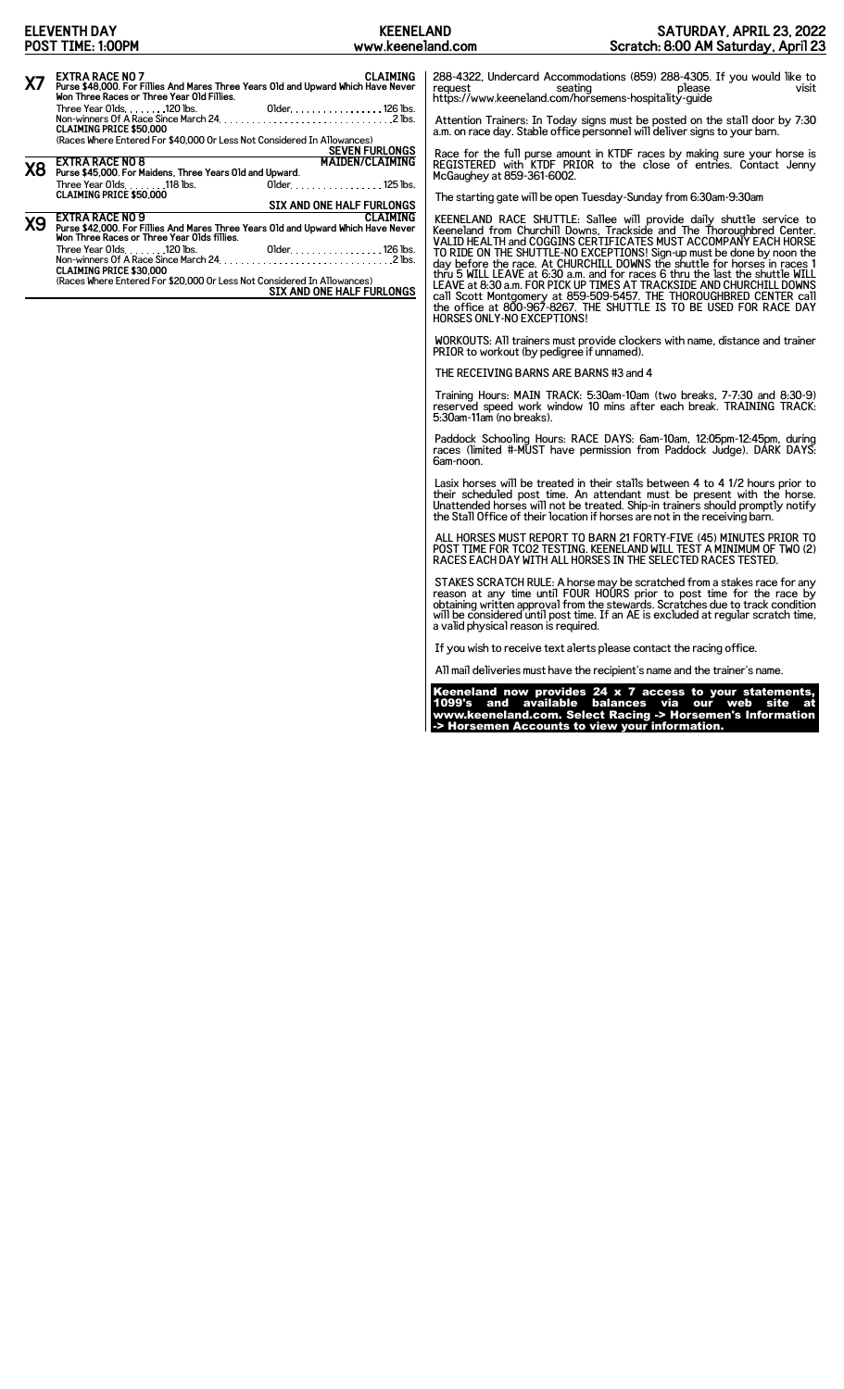**SIX AND ONE HALF FURLONGS**

Three Year Olds 118 lbs. Older 125 lbs. **CLAIMING PRICE \$50,000**

Three Year Olds 120 lbs. Older 126 lbs. Non-winners Of A Race Since March 24 2 lbs. **CLAIMING PRICE \$30,000** (Races Where Entered For \$20,000 Or Less Not Considered In Allowances) **SIX AND ONE HALF FURLONGS**

**CLAIMING FRACE NO 9**<br>Purse \$42,000. For Fillies And Mares Three Years Old and Upward Which Have Never<br>Won Three Races or Three Year Olds fillies.

The starting gate will be open Tuesday-Sunday from 6:30am-9:30am

KEENELAND RACE SHUTTLE: Sallee will provide daily shuttle service to<br>Keeneland from Churchill Downs, Trackside and The Thoroughbred Center.<br>VALID HEALTH and COGGINS CERTIFICATES MUST ACCOMPANY EACH HORSE<br>TO RIDE ON THE SHU

WORKOUTS: All trainers must provide clockers with name, distance and trainer PRIOR to workout (by pedigree if unnamed).

THE RECEIVING BARNS ARE BARNS #3 and 4

McGaughey at 859-361-6002.

Training Hours: MAIN TRACK: 5:30am-10am (two breaks, 7-7:30 and 8:30-9) reserved speed work window 10 mins after each break. TRAINING TRACK: 5:30am-11am (no breaks).

Paddock Schooling Hours: RACE DAYS: 6am-10am, 12:05pm-12:45pm, during races (limited #-MUST have permission from Paddock Judge). DARK DAYS: 6am-noon.

Lasix horses will be treated in their stalls between 4 to 4 1/2 hours prior to<br>their scheduled post time. An attendant must be present with the horse.<br>Unattended horses will not be treated. Ship-in trainers should promptly the Stall Office of their location if horses are not in the receiving barn.

ALL HORSES MUST REPORT TO BARN 21 FORTY-FIVE (45) MINUTES PRIOR TO POST TIME FOR TCO2 TESTING. KEENELAND WILL TEST A MINIMUM OF TWO (2) RACES EACH DAY WITH ALL HORSES IN THE SELECTED RACES TESTED.

STAKES SCRATCH RULE: A horse may be scratched from a stakes race for any<br>reason at any time until FOUR HOURS prior to post time for the race by<br>obtaining written approval from the stewards. Scratches due to track condition

If you wish to receive text alerts please contact the racing office.

All mail deliveries must have the recipient's name and the trainer's name.

Keeneland now provides 24 x 7 access to your statements, 1099's and available balances via our web site at www.keeneland.com. Select Racing -> Horsemen's Information -> Horsemen Accounts to view your information.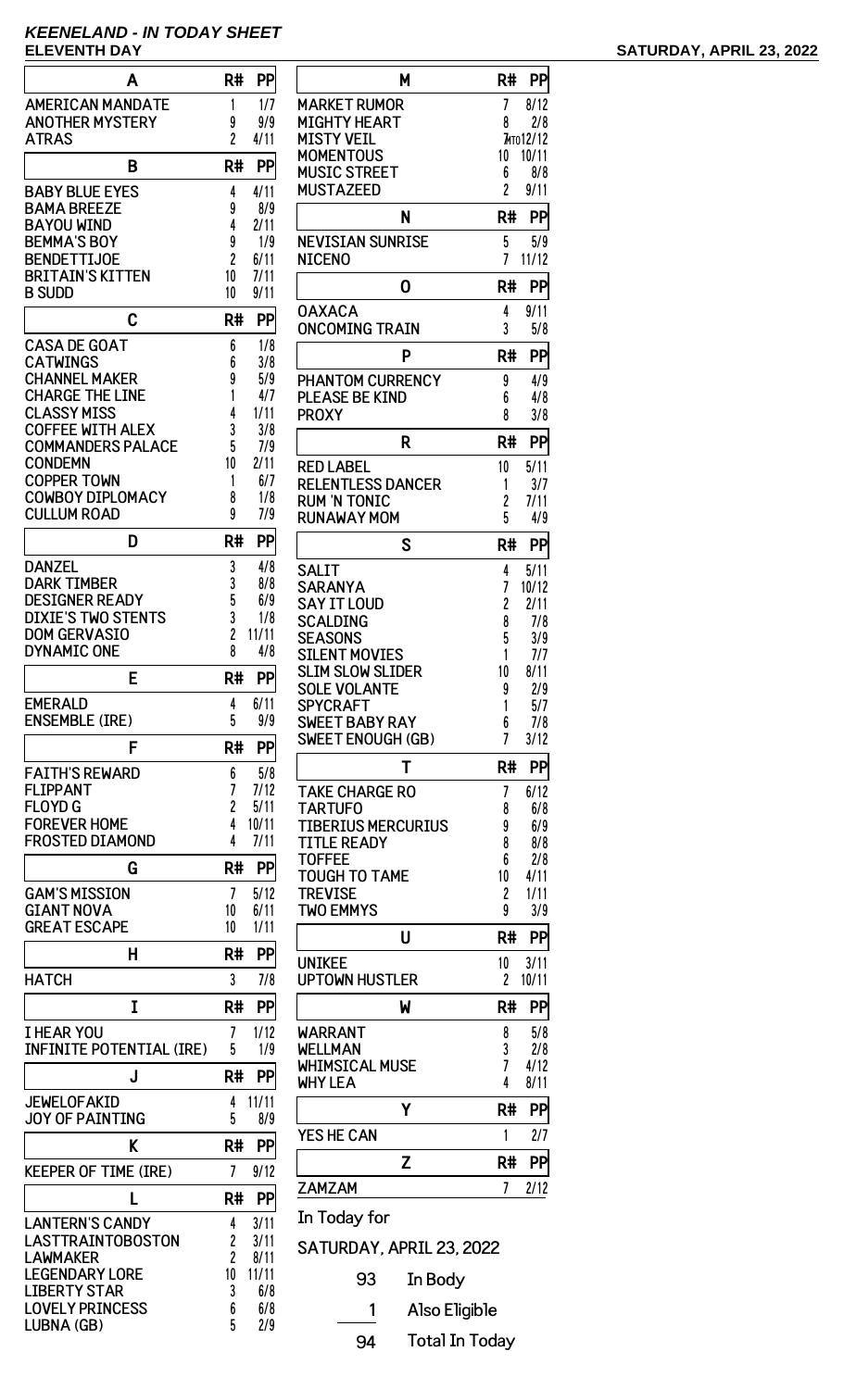## **KEENELAND - IN TODAY SHEET**

| Α                                              | R#                   | PP            |
|------------------------------------------------|----------------------|---------------|
| <b>AMERICAN MANDATE</b>                        | 1                    | 1/7           |
| <b>ANOTHER MYSTERY</b>                         | 9<br>$\overline{2}$  | 9/9           |
| <b>ATRAS</b>                                   |                      | 4/11          |
| B                                              | R#                   | PP            |
| <b>BABY BLUE EYES</b><br><b>BAMA BREEZE</b>    | 4<br>9               | 4/11<br>8/9   |
| <b>BAYOU WIND</b>                              | 4                    | 2/11          |
| <b>BEMMA'S BOY</b>                             | 9                    | 1/9           |
| <b>BENDETTIJOE</b><br><b>BRITAIN'S KITTEN</b>  | $\overline{c}$<br>10 | 6/11<br>7/11  |
| <b>B SUDD</b>                                  | 10                   | 9/11          |
| C                                              | R#                   | PP            |
| <b>CASA DE GOAT</b>                            | 6                    | 1/8           |
| <b>CATWINGS</b>                                | 6                    | 3/8           |
| <b>CHANNEL MAKER</b><br><b>CHARGE THE LINE</b> | 9<br>1               | 5/9<br>4/7    |
| <b>CLASSY MISS</b>                             | 4                    | 1/11          |
| <b>COFFEE WITH ALEX</b>                        | 3<br>5               | 3/8           |
| <b>COMMANDERS PALACE</b><br><b>CONDEMN</b>     | 10                   | 7/9<br>2/11   |
| <b>COPPER TOWN</b>                             | 1                    | 6/7           |
| <b>COWBOY DIPLOMACY</b>                        | 8                    | 1/8           |
| <b>CULLUM ROAD</b>                             | 9                    | 7/9           |
| D                                              | R#                   | PP            |
| DANZEL<br><b>DARK TIMBER</b>                   | 3<br>3               | 4/8<br>8/8    |
| <b>DESIGNER READY</b>                          | 5                    | 6/9           |
| DIXIE'S TWO STENTS                             | 3                    | 1/8           |
| <b>DOM GERVASIO</b><br>DYNAMIC ONE             | 2<br>8               | 11/11<br>4/8  |
|                                                |                      |               |
| E                                              | R#                   | PP            |
| EMERALD<br><b>ENSEMBLE (IRE)</b>               | 4<br>5               | 6/11<br>9/9   |
| F                                              | R#                   | PP            |
| <b>FAITH'S REWARD</b>                          | 6                    | 5/8           |
| <b>FLIPPANT</b>                                | 7                    | 7/12          |
| <b>FLOYD G</b>                                 | 2                    | 5/11          |
| <b>FOREVER HOME</b><br><b>FROSTED DIAMOND</b>  | 4<br>4               | 10/11<br>7/11 |
| G                                              | R#                   | PP            |
| <b>GAM'S MISSION</b>                           | 7                    | 5/12          |
| <b>GIANT NOVA</b>                              | 10                   | 6/11          |
| <b>GREAT ESCAPE</b>                            | 10                   | 1/11          |
| Н                                              | R#                   | <b>PP</b>     |
| <b>HATCH</b>                                   | 3                    | 7/8           |
| I                                              | R#                   | PP            |
| I HEAR YOU<br><b>INFINITE POTENTIAL (IRE)</b>  | 7<br>5               | 1/12<br>1/9   |
|                                                |                      |               |
| J                                              | R#                   | PP            |
| <b>JEWELOFAKID</b><br><b>JOY OF PAINTING</b>   | 4<br>5               | 11/11<br>8/9  |
| K                                              | R#                   | PP            |
| <b>KEEPER OF TIME (IRE)</b>                    | 7                    | 9/12          |
| L                                              | R#                   | PP            |
| <b>LANTERN'S CANDY</b>                         | 4                    | 3/11          |
| LASTTRAINTOBOSTON                              | 2                    | 3/11          |
| <b>LAWMAKER</b><br><b>LEGENDARY LORE</b>       | 2<br>10              | 8/11<br>11/11 |
| <b>LIBERTY STAR</b>                            | 3                    | 6/8           |
| <b>LOVELY PRINCESS</b>                         | 6                    | 6/8           |
| LUBNA (GB)                                     | 5                    | 2/9           |

| M                                       | R#      | PP                |
|-----------------------------------------|---------|-------------------|
| MARKET RUMOR                            | 7       | 8/12              |
| MIGHTY HEART<br>MISTY VEIL              | 8       | 2/8<br>7ито 12/12 |
| MOMENTOUS                               | 10      | 10/11             |
| <b>MUSIC STREET</b>                     | 6       | 8/8               |
| MUSTAZEED                               | 2       | 9/11              |
| N                                       | R#      | PP                |
| <b>NEVISIAN SUNRISE</b><br>NICENO       | 5<br>7  | 5/9<br>11/12      |
| 0                                       | R#      | PP                |
| <b>OAXACA</b><br><b>ONCOMING TRAIN</b>  | 4<br>3  | 9/11<br>5/8       |
| P                                       | R#      | PP                |
| <b>PHANTOM CURRENCY</b>                 | 9       | 4/9               |
| <b>PLEASE BE KIND</b><br><b>PROXY</b>   | 6<br>8  | 4/8<br>3/8        |
| R                                       | R#      | PP                |
| <b>RED LABEL</b>                        | 10      | 5/11              |
| RELENTLESS DANCER                       | 1       | 3/7               |
| RUM 'N TONIC<br><b>RUNAWAY MOM</b>      | 2<br>5  | 7/11<br>4/9       |
| S                                       | R#      | PP                |
| SALIT                                   | 4       | 5/11              |
| SARANYA                                 | 7       | 10/12             |
| SAY IT LOUD                             | 2       | 2/11              |
| SCALDING<br><b>SEASONS</b>              | 8<br>5  | 7/8<br>3/9        |
| <b>SILENT MOVIES</b>                    | 1       | 7/7               |
| SLIM SLOW SLIDER<br><b>SOLE VOLANTE</b> | 10      | 8/11<br>2/9       |
| <b>SPYCRAFT</b>                         | 9<br>1  | 5/7               |
| <b>SWEET BABY RAY</b>                   | 6       | 7/8               |
| <b>SWEET ENOUGH (GB)</b>                | 7       | 3/12              |
| T                                       | R#      | PP                |
| <b>TAKE CHARGE RO</b>                   | 7       | 6/12              |
| TARTUFO<br><b>TIBERIUS MERCURIUS</b>    | 8<br>9  | 6/8<br>6/9        |
| TITLE READY                             | 8       | 8/8               |
| TOFFEE<br><b>TOUGH TO TAME</b>          | 6<br>10 | 2/8<br>4/11       |
| <b>TREVISE</b>                          | 2       | 1/11              |
| <b>TWO EMMYS</b>                        | 9       | 3/9               |
| U                                       | R#      | PP                |
| <b>UNIKEE</b><br><b>UPTOWN HUSTLER</b>  | 10<br>2 | 3/11<br>10/11     |
| W                                       | R#      | PP                |
| WARRANT                                 | 8       | 5/8               |
| <b>WELLMAN</b><br>WHIMSICAL MUSE        | 3<br>7  | 2/8<br>4/12       |
| <b>WHY LEA</b>                          | 4       | 8/11              |
| Y                                       | R#      | PP                |
| YES HE CAN                              | 1       | 2/7               |
| Z                                       | R#      | PP                |
| ZAMZAM                                  | 7       | 2/12              |
| In Today for                            |         |                   |

SATURDAY, APRIL 23, 2022

93 In Body

1 Also Eligible

94 Total In Today

## **SATURDAY, APRIL 23, 2022**